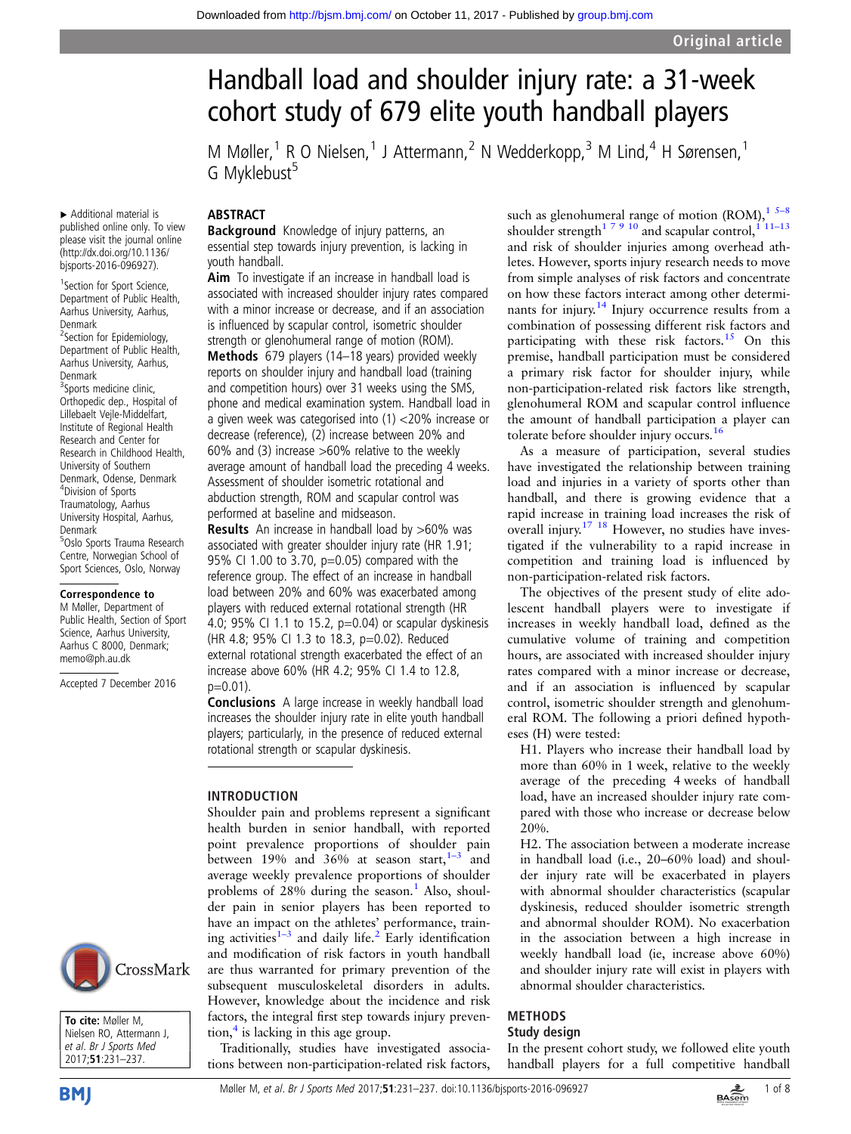# Handball load and shoulder injury rate: a 31-week cohort study of 679 elite youth handball players

M Møller,<sup>1</sup> R O Nielsen,<sup>1</sup> J Attermann,<sup>2</sup> N Wedderkopp,<sup>3</sup> M Lind,<sup>4</sup> H Sørensen,<sup>1</sup> G Myklebust<sup>5</sup>

#### published online only. To view ABSTRACT

▸ Additional material is

Denmark

Denmark

Denmark

please visit the journal online [\(http://dx.doi.org/10.1136/](http://dx.doi.org/10.1136/bjsports-2016-096927) [bjsports-2016-096927](http://dx.doi.org/10.1136/bjsports-2016-096927)). <sup>1</sup> Section for Sport Science, Department of Public Health, Aarhus University, Aarhus,

<sup>2</sup>Section for Epidemiology, Department of Public Health, Aarhus University, Aarhus,

<sup>3</sup>Sports medicine clinic, Orthopedic dep., Hospital of Lillebaelt Vejle-Middelfart, Institute of Regional Health Research and Center for Research in Childhood Health, University of Southern Denmark, Odense, Denmark 4 Division of Sports Traumatology, Aarhus University Hospital, Aarhus,

5 Oslo Sports Trauma Research Centre, Norwegian School of Sport Sciences, Oslo, Norway Correspondence to M Møller, Department of Public Health, Section of Sport Science, Aarhus University, Aarhus C 8000, Denmark; memo@ph.au.dk

Accepted 7 December 2016

**Background** Knowledge of injury patterns, an essential step towards injury prevention, is lacking in youth handball.

Aim To investigate if an increase in handball load is associated with increased shoulder injury rates compared with a minor increase or decrease, and if an association is influenced by scapular control, isometric shoulder strength or glenohumeral range of motion (ROM). Methods 679 players (14–18 years) provided weekly reports on shoulder injury and handball load (training and competition hours) over 31 weeks using the SMS, phone and medical examination system. Handball load in a given week was categorised into (1) <20% increase or decrease (reference), (2) increase between 20% and 60% and (3) increase >60% relative to the weekly average amount of handball load the preceding 4 weeks. Assessment of shoulder isometric rotational and abduction strength, ROM and scapular control was performed at baseline and midseason.

Results An increase in handball load by >60% was associated with greater shoulder injury rate (HR 1.91; 95% CI 1.00 to 3.70, p=0.05) compared with the reference group. The effect of an increase in handball load between 20% and 60% was exacerbated among players with reduced external rotational strength (HR 4.0; 95% CI 1.1 to 15.2, p=0.04) or scapular dyskinesis (HR 4.8; 95% CI 1.3 to 18.3, p=0.02). Reduced external rotational strength exacerbated the effect of an increase above 60% (HR 4.2; 95% CI 1.4 to 12.8,  $p=0.01$ ).

Conclusions A large increase in weekly handball load increases the shoulder injury rate in elite youth handball players; particularly, in the presence of reduced external rotational strength or scapular dyskinesis.

#### INTRODUCTION

Shoulder pain and problems represent a significant health burden in senior handball, with reported point prevalence proportions of shoulder pain between [1](#page-6-0)9% and  $36\%$  at season start,  $1-3$  and average weekly prevalence proportions of shoulder problems of  $28\%$  during the season.<sup>1</sup> Also, shoulder pain in senior players has been reported to have an impact on the athletes' performance, training activities $1-3$  and daily life.<sup>[2](#page-6-0)</sup> Early identification and modification of risk factors in youth handball are thus warranted for primary prevention of the subsequent musculoskeletal disorders in adults. However, knowledge about the incidence and risk factors, the integral first step towards injury prevention, $\frac{4}{3}$  $\frac{4}{3}$  $\frac{4}{3}$  is lacking in this age group.

Traditionally, studies have investigated associations between non-participation-related risk factors,

such as glenohumeral range of motion (ROM), $15-8$ shoulder strength<sup>17910</sup> and scapular control,<sup>111-13</sup> and risk of shoulder injuries among overhead athletes. However, sports injury research needs to move from simple analyses of risk factors and concentrate on how these factors interact among other determi-nants for injury.<sup>[14](#page-6-0)</sup> Injury occurrence results from a combination of possessing different risk factors and participating with these risk factors.<sup>[15](#page-6-0)</sup> On this premise, handball participation must be considered a primary risk factor for shoulder injury, while non-participation-related risk factors like strength, glenohumeral ROM and scapular control influence the amount of handball participation a player can tolerate before shoulder injury occurs.<sup>[16](#page-6-0)</sup>

As a measure of participation, several studies have investigated the relationship between training load and injuries in a variety of sports other than handball, and there is growing evidence that a rapid increase in training load increases the risk of overall injury.<sup>[17 18](#page-6-0)</sup> However, no studies have investigated if the vulnerability to a rapid increase in competition and training load is influenced by non-participation-related risk factors.

The objectives of the present study of elite adolescent handball players were to investigate if increases in weekly handball load, defined as the cumulative volume of training and competition hours, are associated with increased shoulder injury rates compared with a minor increase or decrease, and if an association is influenced by scapular control, isometric shoulder strength and glenohumeral ROM. The following a priori defined hypotheses (H) were tested:

H1. Players who increase their handball load by more than 60% in 1 week, relative to the weekly average of the preceding 4 weeks of handball load, have an increased shoulder injury rate compared with those who increase or decrease below 20%.

H2. The association between a moderate increase in handball load (i.e., 20–60% load) and shoulder injury rate will be exacerbated in players with abnormal shoulder characteristics (scapular dyskinesis, reduced shoulder isometric strength and abnormal shoulder ROM). No exacerbation in the association between a high increase in weekly handball load (ie, increase above 60%) and shoulder injury rate will exist in players with abnormal shoulder characteristics.

#### METHODS Study design

In the present cohort study, we followed elite youth handball players for a full competitive handball



To cite: Møller M, Nielsen RO, Attermann J, et al. Br J Sports Med 2017;51:231–237.

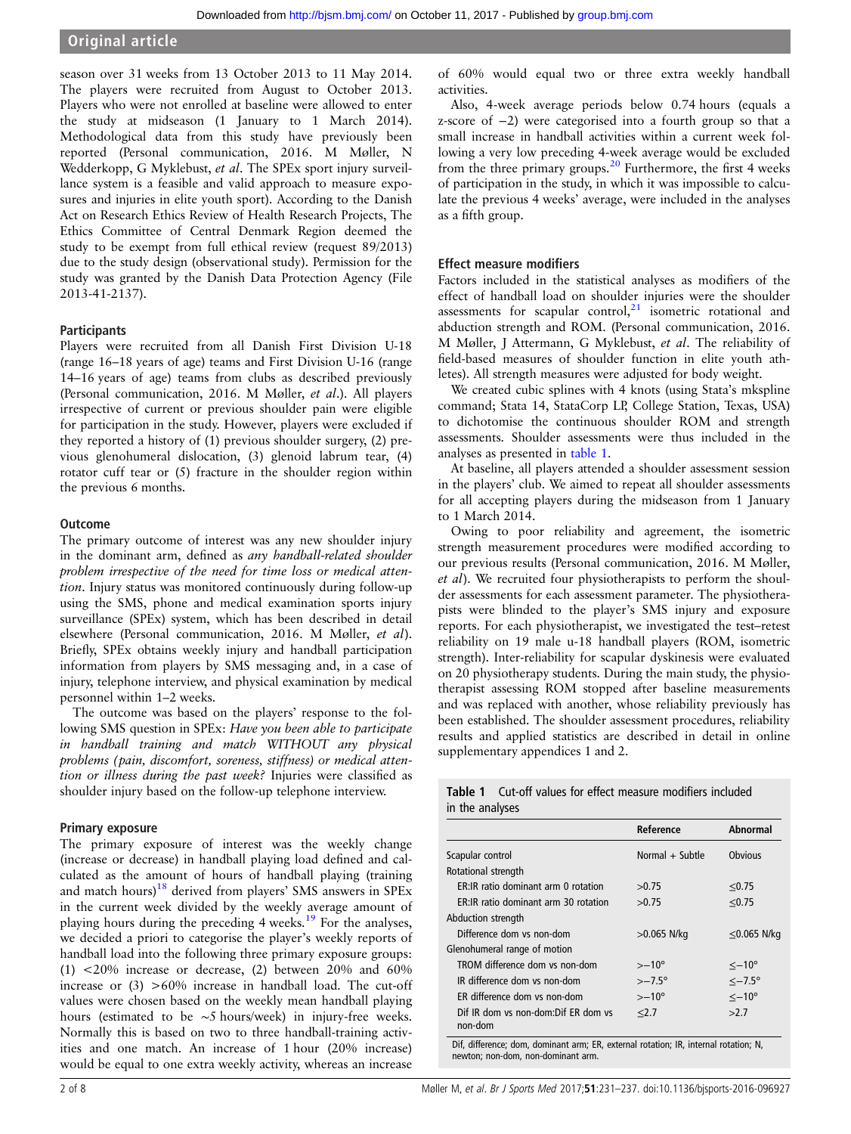season over 31 weeks from 13 October 2013 to 11 May 2014. The players were recruited from August to October 2013. Players who were not enrolled at baseline were allowed to enter the study at midseason (1 January to 1 March 2014). Methodological data from this study have previously been reported (Personal communication, 2016. M Møller, N Wedderkopp, G Myklebust, et al. The SPEx sport injury surveillance system is a feasible and valid approach to measure exposures and injuries in elite youth sport). According to the Danish Act on Research Ethics Review of Health Research Projects, The Ethics Committee of Central Denmark Region deemed the study to be exempt from full ethical review (request 89/2013) due to the study design (observational study). Permission for the study was granted by the Danish Data Protection Agency (File 2013-41-2137).

#### **Participants**

Players were recruited from all Danish First Division U-18 (range 16–18 years of age) teams and First Division U-16 (range 14–16 years of age) teams from clubs as described previously (Personal communication, 2016. M Møller, et al.). All players irrespective of current or previous shoulder pain were eligible for participation in the study. However, players were excluded if they reported a history of (1) previous shoulder surgery, (2) previous glenohumeral dislocation, (3) glenoid labrum tear, (4) rotator cuff tear or (5) fracture in the shoulder region within the previous 6 months.

## **Outcome**

The primary outcome of interest was any new shoulder injury in the dominant arm, defined as any handball-related shoulder problem irrespective of the need for time loss or medical attention. Injury status was monitored continuously during follow-up using the SMS, phone and medical examination sports injury surveillance (SPEx) system, which has been described in detail elsewhere (Personal communication, 2016. M Møller, et al). Briefly, SPEx obtains weekly injury and handball participation information from players by SMS messaging and, in a case of injury, telephone interview, and physical examination by medical personnel within 1–2 weeks.

The outcome was based on the players' response to the following SMS question in SPEx: Have you been able to participate in handball training and match WITHOUT any physical problems ( pain, discomfort, soreness, stiffness) or medical attention or illness during the past week? Injuries were classified as shoulder injury based on the follow-up telephone interview.

## Primary exposure

The primary exposure of interest was the weekly change (increase or decrease) in handball playing load defined and calculated as the amount of hours of handball playing (training and match hours) $18$  derived from players' SMS answers in SPEx in the current week divided by the weekly average amount of playing hours during the preceding 4 weeks.<sup>[19](#page-6-0)</sup> For the analyses, we decided a priori to categorise the player's weekly reports of handball load into the following three primary exposure groups: (1) <20% increase or decrease, (2) between 20% and 60% increase or  $(3) >60\%$  increase in handball load. The cut-off values were chosen based on the weekly mean handball playing hours (estimated to be ∼5 hours/week) in injury-free weeks. Normally this is based on two to three handball-training activities and one match. An increase of 1 hour (20% increase) would be equal to one extra weekly activity, whereas an increase

of 60% would equal two or three extra weekly handball activities.

Also, 4-week average periods below 0.74 hours (equals a z-score of −2) were categorised into a fourth group so that a small increase in handball activities within a current week following a very low preceding 4-week average would be excluded from the three primary groups.<sup>[20](#page-6-0)</sup> Furthermore, the first 4 weeks of participation in the study, in which it was impossible to calculate the previous 4 weeks' average, were included in the analyses as a fifth group.

#### Effect measure modifiers

Factors included in the statistical analyses as modifiers of the effect of handball load on shoulder injuries were the shoulder assessments for scapular control, $21$  isometric rotational and abduction strength and ROM. (Personal communication, 2016. M Møller, J Attermann, G Myklebust, et al. The reliability of field-based measures of shoulder function in elite youth athletes). All strength measures were adjusted for body weight.

We created cubic splines with 4 knots (using Stata's mkspline command; Stata 14, StataCorp LP, College Station, Texas, USA) to dichotomise the continuous shoulder ROM and strength assessments. Shoulder assessments were thus included in the analyses as presented in table 1.

At baseline, all players attended a shoulder assessment session in the players' club. We aimed to repeat all shoulder assessments for all accepting players during the midseason from 1 January to 1 March 2014.

Owing to poor reliability and agreement, the isometric strength measurement procedures were modified according to our previous results (Personal communication, 2016. M Møller, et al). We recruited four physiotherapists to perform the shoulder assessments for each assessment parameter. The physiotherapists were blinded to the player's SMS injury and exposure reports. For each physiotherapist, we investigated the test–retest reliability on 19 male u-18 handball players (ROM, isometric strength). Inter-reliability for scapular dyskinesis were evaluated on 20 physiotherapy students. During the main study, the physiotherapist assessing ROM stopped after baseline measurements and was replaced with another, whose reliability previously has been established. The shoulder assessment procedures, reliability results and applied statistics are described in detail in online [supplementary appendices 1 and 2.](http://dx.doi.org/10.1136/bjsports-2016-096927)

| <b>Table 1</b> Cut-off values for effect measure modifiers included |  |  |  |  |
|---------------------------------------------------------------------|--|--|--|--|
| in the analyses                                                     |  |  |  |  |

|                                                 | Reference         | Abnormal               |
|-------------------------------------------------|-------------------|------------------------|
| Scapular control                                | Normal + Subtle   | <b>Obvious</b>         |
| Rotational strength                             |                   |                        |
| ER: IR ratio dominant arm 0 rotation            | >0.75             | < 0.75                 |
| <b>FR: IR ratio dominant arm 30 rotation</b>    | >0.75             | < 0.75                 |
| Abduction strength                              |                   |                        |
| Difference dom vs non-dom                       | $>0.065$ N/kg     | $\leq$ 0.065 N/kg      |
| Glenohumeral range of motion                    |                   |                        |
| TROM difference dom vs non-dom                  | $>$ $-10^{\circ}$ | $\sim$ –10 $^{\circ}$  |
| IR difference dom vs non-dom                    | $>-7.5^{\circ}$   | $\sim$ -7.5 $^{\circ}$ |
| FR difference dom vs non-dom                    | $>$ $-10^{\circ}$ | $\sim$ -10 $^{\circ}$  |
| Dif IR dom vs non-dom: Dif ER dom vs<br>non-dom | 2.7               | >2.7                   |

Dif, difference; dom, dominant arm; ER, external rotation; IR, internal rotation; N, newton; non-dom, non-dominant arm.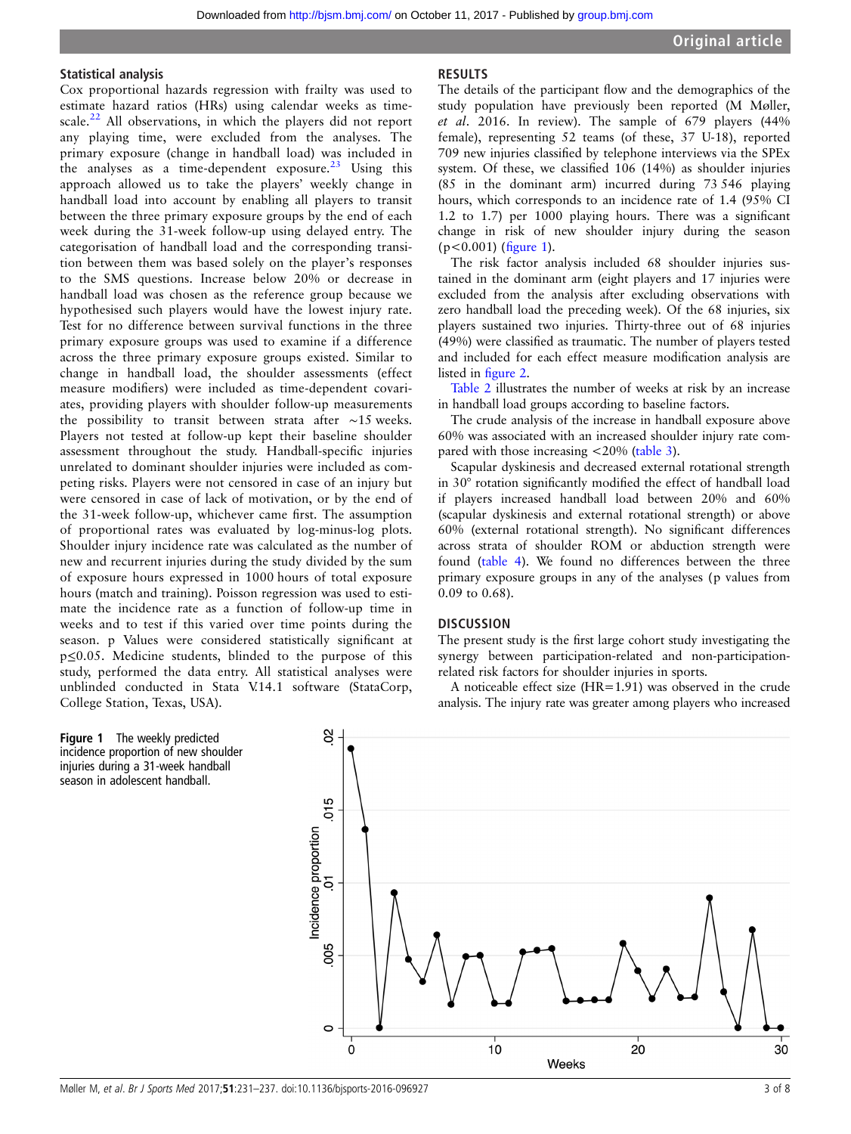#### Statistical analysis

Cox proportional hazards regression with frailty was used to estimate hazard ratios (HRs) using calendar weeks as time-scale.<sup>[22](#page-6-0)</sup> All observations, in which the players did not report any playing time, were excluded from the analyses. The primary exposure (change in handball load) was included in the analyses as a time-dependent exposure. $^{23}$  $^{23}$  $^{23}$  Using this approach allowed us to take the players' weekly change in handball load into account by enabling all players to transit between the three primary exposure groups by the end of each week during the 31-week follow-up using delayed entry. The categorisation of handball load and the corresponding transition between them was based solely on the player's responses to the SMS questions. Increase below 20% or decrease in handball load was chosen as the reference group because we hypothesised such players would have the lowest injury rate. Test for no difference between survival functions in the three primary exposure groups was used to examine if a difference across the three primary exposure groups existed. Similar to change in handball load, the shoulder assessments (effect measure modifiers) were included as time-dependent covariates, providing players with shoulder follow-up measurements the possibility to transit between strata after ∼15 weeks. Players not tested at follow-up kept their baseline shoulder assessment throughout the study. Handball-specific injuries unrelated to dominant shoulder injuries were included as competing risks. Players were not censored in case of an injury but were censored in case of lack of motivation, or by the end of the 31-week follow-up, whichever came first. The assumption of proportional rates was evaluated by log-minus-log plots. Shoulder injury incidence rate was calculated as the number of new and recurrent injuries during the study divided by the sum of exposure hours expressed in 1000 hours of total exposure hours (match and training). Poisson regression was used to estimate the incidence rate as a function of follow-up time in weeks and to test if this varied over time points during the season. p Values were considered statistically significant at p≤0.05. Medicine students, blinded to the purpose of this study, performed the data entry. All statistical analyses were unblinded conducted in Stata V.14.1 software (StataCorp, College Station, Texas, USA).

## RESULTS

The details of the participant flow and the demographics of the study population have previously been reported (M Møller, et al. 2016. In review). The sample of 679 players (44% female), representing 52 teams (of these, 37 U-18), reported 709 new injuries classified by telephone interviews via the SPEx system. Of these, we classified 106 (14%) as shoulder injuries (85 in the dominant arm) incurred during 73 546 playing hours, which corresponds to an incidence rate of 1.4 (95% CI 1.2 to 1.7) per 1000 playing hours. There was a significant change in risk of new shoulder injury during the season (p<0.001) (figure 1).

The risk factor analysis included 68 shoulder injuries sustained in the dominant arm (eight players and 17 injuries were excluded from the analysis after excluding observations with zero handball load the preceding week). Of the 68 injuries, six players sustained two injuries. Thirty-three out of 68 injuries (49%) were classified as traumatic. The number of players tested and included for each effect measure modification analysis are listed in fi[gure 2.](#page-3-0)

[Table 2](#page-3-0) illustrates the number of weeks at risk by an increase in handball load groups according to baseline factors.

The crude analysis of the increase in handball exposure above 60% was associated with an increased shoulder injury rate compared with those increasing <20% [\(table 3](#page-4-0)).

Scapular dyskinesis and decreased external rotational strength in 30° rotation significantly modified the effect of handball load if players increased handball load between 20% and 60% (scapular dyskinesis and external rotational strength) or above 60% (external rotational strength). No significant differences across strata of shoulder ROM or abduction strength were found [\(table 4](#page-5-0)). We found no differences between the three primary exposure groups in any of the analyses (p values from 0.09 to 0.68).

#### **DISCUSSION**

The present study is the first large cohort study investigating the synergy between participation-related and non-participationrelated risk factors for shoulder injuries in sports.

A noticeable effect size (HR=1.91) was observed in the crude analysis. The injury rate was greater among players who increased



Figure 1 The weekly predicted incidence proportion of new shoulder injuries during a 31-week handball season in adolescent handball.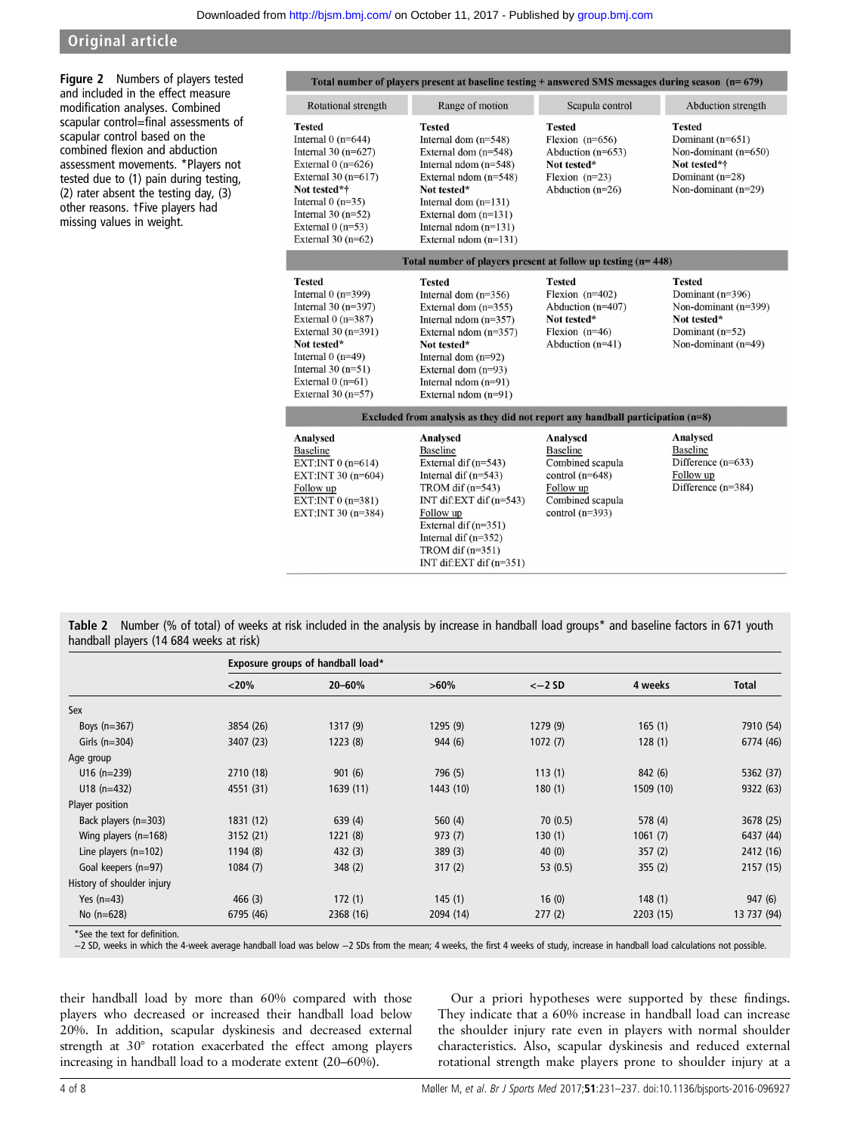<span id="page-3-0"></span>Figure 2 Numbers of players tested and included in the effect measure modification analyses. Combined scapular control=final assessments of scapular control based on the combined flexion and abduction assessment movements. \*Players not tested due to (1) pain during testing, (2) rater absent the testing day, (3) other reasons. †Five players had missing values in weight.

|                                                                                                                                                                                                                            | Total number of players present at baseline testing $+$ answered SMS messages during season ( $n=679$ )                                                                                                                                                      |                                                                                                                            |                                                                                                                          |  |
|----------------------------------------------------------------------------------------------------------------------------------------------------------------------------------------------------------------------------|--------------------------------------------------------------------------------------------------------------------------------------------------------------------------------------------------------------------------------------------------------------|----------------------------------------------------------------------------------------------------------------------------|--------------------------------------------------------------------------------------------------------------------------|--|
| Rotational strength                                                                                                                                                                                                        | Range of motion                                                                                                                                                                                                                                              | Scapula control                                                                                                            | Abduction strength                                                                                                       |  |
| <b>Tested</b><br>Internal $0$ (n=644)<br>Internal 30 $(n=627)$<br>External $0(n=626)$<br>External 30 $(n=617)$<br>Not tested*†<br>Internal $0(n=35)$<br>Internal 30 $(n=52)$<br>External $0(n=53)$<br>External 30 $(n=62)$ | <b>Tested</b><br>Internal dom $(n=548)$<br>External dom $(n=548)$<br>Internal ndom $(n=548)$<br>External ndom (n=548)<br>Not tested*<br>Internal dom $(n=131)$<br>External dom $(n=131)$<br>Internal ndom $(n=131)$<br>External ndom $(n=131)$               | <b>Tested</b><br>Flexion $(n=656)$<br>Abduction $(n=653)$<br>Not tested*<br>Flexion $(n=23)$<br>Abduction $(n=26)$         | <b>Tested</b><br>Dominant $(n=651)$<br>Non-dominant (n=650)<br>Not tested*†<br>Dominant $(n=28)$<br>Non-dominant (n=29)  |  |
|                                                                                                                                                                                                                            | Total number of players present at follow up testing (n= 448)                                                                                                                                                                                                |                                                                                                                            |                                                                                                                          |  |
| <b>Tested</b><br>Internal $0$ (n=399)<br>Internal 30 $(n=397)$<br>External $0(n=387)$<br>External 30 (n=391)<br>Not tested*<br>Internal $0(n=49)$<br>Internal $30(n=51)$<br>External $0(n=61)$<br>External 30 $(n=57)$     | <b>Tested</b><br>Internal dom $(n=356)$<br>External dom $(n=355)$<br>Internal ndom $(n=357)$<br>External ndom $(n=357)$<br>Not tested*<br>Internal dom $(n=92)$<br>External dom $(n=93)$<br>Internal ndom $(n=91)$<br>External ndom (n=91)                   | <b>Tested</b><br>Flexion $(n=402)$<br>Abduction $(n=407)$<br>Not tested*<br>Flexion $(n=46)$<br>Abduction $(n=41)$         | <b>Tested</b><br>Dominant $(n=396)$<br>Non-dominant (n=399)<br>Not tested*<br>Dominant $(n=52)$<br>Non-dominant $(n=49)$ |  |
|                                                                                                                                                                                                                            | Excluded from analysis as they did not report any handball participation $(n=8)$                                                                                                                                                                             |                                                                                                                            |                                                                                                                          |  |
| Analysed<br><b>Baseline</b><br>EXT:INT 0 $(n=614)$<br>EXT:INT 30 (n=604)<br>Follow up<br>EXT:INT 0 (n=381)<br>EXT:INT 30 (n=384)                                                                                           | Analysed<br><b>Baseline</b><br>External dif $(n=543)$<br>Internal dif $(n=543)$<br>TROM dif $(n=543)$<br>INT dif: $EXT$ dif $(n=543)$<br>Follow up<br>External dif $(n=351)$<br>Internal dif $(n=352)$<br>TROM dif $(n=351)$<br>INT dif: $EXT$ dif $(n=351)$ | Analysed<br><b>Baseline</b><br>Combined scapula<br>control $(n=648)$<br>Follow up<br>Combined scapula<br>control $(n=393)$ | Analysed<br><b>Baseline</b><br>Difference $(n=633)$<br>Follow up<br>Difference $(n=384)$                                 |  |

Table 2 Number (% of total) of weeks at risk included in the analysis by increase in handball load groups\* and baseline factors in 671 youth handball players (14 684 weeks at risk)

|                            | Exposure groups of handball load* |           |           |            |           |             |  |  |
|----------------------------|-----------------------------------|-----------|-----------|------------|-----------|-------------|--|--|
|                            | < 20%                             | 20-60%    | $>60\%$   | $<-2SD$    | 4 weeks   | Total       |  |  |
| Sex                        |                                   |           |           |            |           |             |  |  |
| Boys $(n=367)$             | 3854 (26)                         | 1317(9)   | 1295(9)   | 1279 (9)   | 165(1)    | 7910 (54)   |  |  |
| Girls $(n=304)$            | 3407 (23)                         | 1223(8)   | 944(6)    | 1072(7)    | 128(1)    | 6774 (46)   |  |  |
| Age group                  |                                   |           |           |            |           |             |  |  |
| $U16$ (n=239)              | 2710 (18)                         | 901(6)    | 796 (5)   | 113(1)     | 842 (6)   | 5362 (37)   |  |  |
| $U18$ (n=432)              | 4551 (31)                         | 1639(11)  | 1443 (10) | 180(1)     | 1509 (10) | 9322 (63)   |  |  |
| Player position            |                                   |           |           |            |           |             |  |  |
| Back players (n=303)       | 1831 (12)                         | 639(4)    | 560 $(4)$ | 70(0.5)    | 578 (4)   | 3678 (25)   |  |  |
| Wing players $(n=168)$     | 3152 (21)                         | 1221(8)   | 973(7)    | 130(1)     | 1061(7)   | 6437 (44)   |  |  |
| Line players $(n=102)$     | 1194(8)                           | 432(3)    | 389(3)    | 40(0)      | 357(2)    | 2412 (16)   |  |  |
| Goal keepers (n=97)        | 1084(7)                           | 348(2)    | 317(2)    | 53 $(0.5)$ | 355(2)    | 2157 (15)   |  |  |
| History of shoulder injury |                                   |           |           |            |           |             |  |  |
| Yes $(n=43)$               | 466(3)                            | 172(1)    | 145(1)    | 16(0)      | 148(1)    | 947 (6)     |  |  |
| No $(n=628)$               | 6795 (46)                         | 2368 (16) | 2094 (14) | 277(2)     | 2203 (15) | 13 737 (94) |  |  |

\*See the text for definition.

−2 SD, weeks in which the 4-week average handball load was below −2 SDs from the mean; 4 weeks, the first 4 weeks of study, increase in handball load calculations not possible.

their handball load by more than 60% compared with those players who decreased or increased their handball load below 20%. In addition, scapular dyskinesis and decreased external strength at 30° rotation exacerbated the effect among players increasing in handball load to a moderate extent (20–60%).

Our a priori hypotheses were supported by these findings. They indicate that a 60% increase in handball load can increase the shoulder injury rate even in players with normal shoulder characteristics. Also, scapular dyskinesis and reduced external rotational strength make players prone to shoulder injury at a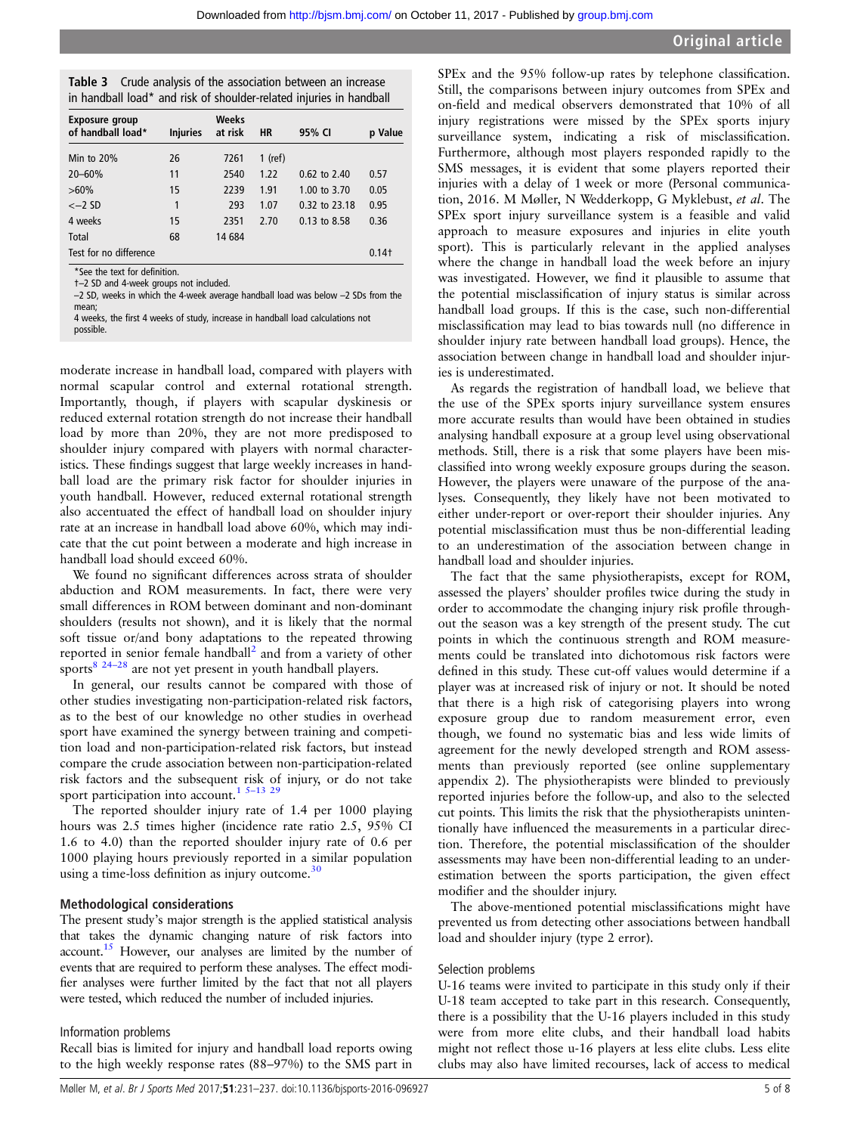<span id="page-4-0"></span>

| Table 3 Crude analysis of the association between an increase       |
|---------------------------------------------------------------------|
| in handball load* and risk of shoulder-related injuries in handball |

| <b>Exposure group</b><br>of handball load* | <b>Injuries</b> | Weeks<br>at risk | <b>HR</b> | 95% CI        | p Value             |
|--------------------------------------------|-----------------|------------------|-----------|---------------|---------------------|
| Min to $20\%$                              | 26              | 7261             | $1$ (ref) |               |                     |
| 20-60%                                     | 11              | 2540             | 1.22      | 0.62 to 2.40  | 0.57                |
| $>60\%$                                    | 15              | 2239             | 1.91      | 1.00 to 3.70  | 0.05                |
| $<-2$ SD                                   | 1               | 293              | 1.07      | 0.32 to 23.18 | 0.95                |
| 4 weeks                                    | 15              | 2351             | 2.70      | 0.13 to 8.58  | 0.36                |
| Total                                      | 68              | 14 684           |           |               |                     |
| Test for no difference                     |                 |                  |           |               | $0.14$ <sup>+</sup> |

\*See the text for definition.

†–2 SD and 4-week groups not included.

–2 SD, weeks in which the 4-week average handball load was below –2 SDs from the mean;

4 weeks, the first 4 weeks of study, increase in handball load calculations not

possible.

moderate increase in handball load, compared with players with normal scapular control and external rotational strength. Importantly, though, if players with scapular dyskinesis or reduced external rotation strength do not increase their handball load by more than 20%, they are not more predisposed to shoulder injury compared with players with normal characteristics. These findings suggest that large weekly increases in handball load are the primary risk factor for shoulder injuries in youth handball. However, reduced external rotational strength also accentuated the effect of handball load on shoulder injury rate at an increase in handball load above 60%, which may indicate that the cut point between a moderate and high increase in handball load should exceed 60%.

We found no significant differences across strata of shoulder abduction and ROM measurements. In fact, there were very small differences in ROM between dominant and non-dominant shoulders (results not shown), and it is likely that the normal soft tissue or/and bony adaptations to the repeated throwing reported in senior female handball<sup>[2](#page-6-0)</sup> and from a variety of other sports $8^{24-28}$  $8^{24-28}$  are not yet present in youth handball players.

In general, our results cannot be compared with those of other studies investigating non-participation-related risk factors, as to the best of our knowledge no other studies in overhead sport have examined the synergy between training and competition load and non-participation-related risk factors, but instead compare the crude association between non-participation-related risk factors and the subsequent risk of injury, or do not take sport participation into account.<sup>[1](#page-6-0) 5-[13](#page-6-0)</sup> [29](#page-7-0)

The reported shoulder injury rate of 1.4 per 1000 playing hours was 2.5 times higher (incidence rate ratio 2.5, 95% CI 1.6 to 4.0) than the reported shoulder injury rate of 0.6 per 1000 playing hours previously reported in a similar population using a time-loss definition as injury outcome. $30$ 

#### Methodological considerations

The present study's major strength is the applied statistical analysis that takes the dynamic changing nature of risk factors into account[.15](#page-6-0) However, our analyses are limited by the number of events that are required to perform these analyses. The effect modifier analyses were further limited by the fact that not all players were tested, which reduced the number of included injuries.

#### Information problems

Recall bias is limited for injury and handball load reports owing to the high weekly response rates (88–97%) to the SMS part in SPEx and the 95% follow-up rates by telephone classification. Still, the comparisons between injury outcomes from SPEx and on-field and medical observers demonstrated that 10% of all injury registrations were missed by the SPEx sports injury surveillance system, indicating a risk of misclassification. Furthermore, although most players responded rapidly to the SMS messages, it is evident that some players reported their injuries with a delay of 1 week or more (Personal communication, 2016. M Møller, N Wedderkopp, G Myklebust, et al. The SPEx sport injury surveillance system is a feasible and valid approach to measure exposures and injuries in elite youth sport). This is particularly relevant in the applied analyses where the change in handball load the week before an injury was investigated. However, we find it plausible to assume that the potential misclassification of injury status is similar across handball load groups. If this is the case, such non-differential misclassification may lead to bias towards null (no difference in shoulder injury rate between handball load groups). Hence, the association between change in handball load and shoulder injuries is underestimated.

As regards the registration of handball load, we believe that the use of the SPEx sports injury surveillance system ensures more accurate results than would have been obtained in studies analysing handball exposure at a group level using observational methods. Still, there is a risk that some players have been misclassified into wrong weekly exposure groups during the season. However, the players were unaware of the purpose of the analyses. Consequently, they likely have not been motivated to either under-report or over-report their shoulder injuries. Any potential misclassification must thus be non-differential leading to an underestimation of the association between change in handball load and shoulder injuries.

The fact that the same physiotherapists, except for ROM, assessed the players' shoulder profiles twice during the study in order to accommodate the changing injury risk profile throughout the season was a key strength of the present study. The cut points in which the continuous strength and ROM measurements could be translated into dichotomous risk factors were defined in this study. These cut-off values would determine if a player was at increased risk of injury or not. It should be noted that there is a high risk of categorising players into wrong exposure group due to random measurement error, even though, we found no systematic bias and less wide limits of agreement for the newly developed strength and ROM assessments than previously reported (see online [supplementary](http://dx.doi.org/10.1136/bjsports-2016-096927) [appendix 2](http://dx.doi.org/10.1136/bjsports-2016-096927)). The physiotherapists were blinded to previously reported injuries before the follow-up, and also to the selected cut points. This limits the risk that the physiotherapists unintentionally have influenced the measurements in a particular direction. Therefore, the potential misclassification of the shoulder assessments may have been non-differential leading to an underestimation between the sports participation, the given effect modifier and the shoulder injury.

The above-mentioned potential misclassifications might have prevented us from detecting other associations between handball load and shoulder injury (type 2 error).

#### Selection problems

U-16 teams were invited to participate in this study only if their U-18 team accepted to take part in this research. Consequently, there is a possibility that the U-16 players included in this study were from more elite clubs, and their handball load habits might not reflect those u-16 players at less elite clubs. Less elite clubs may also have limited recourses, lack of access to medical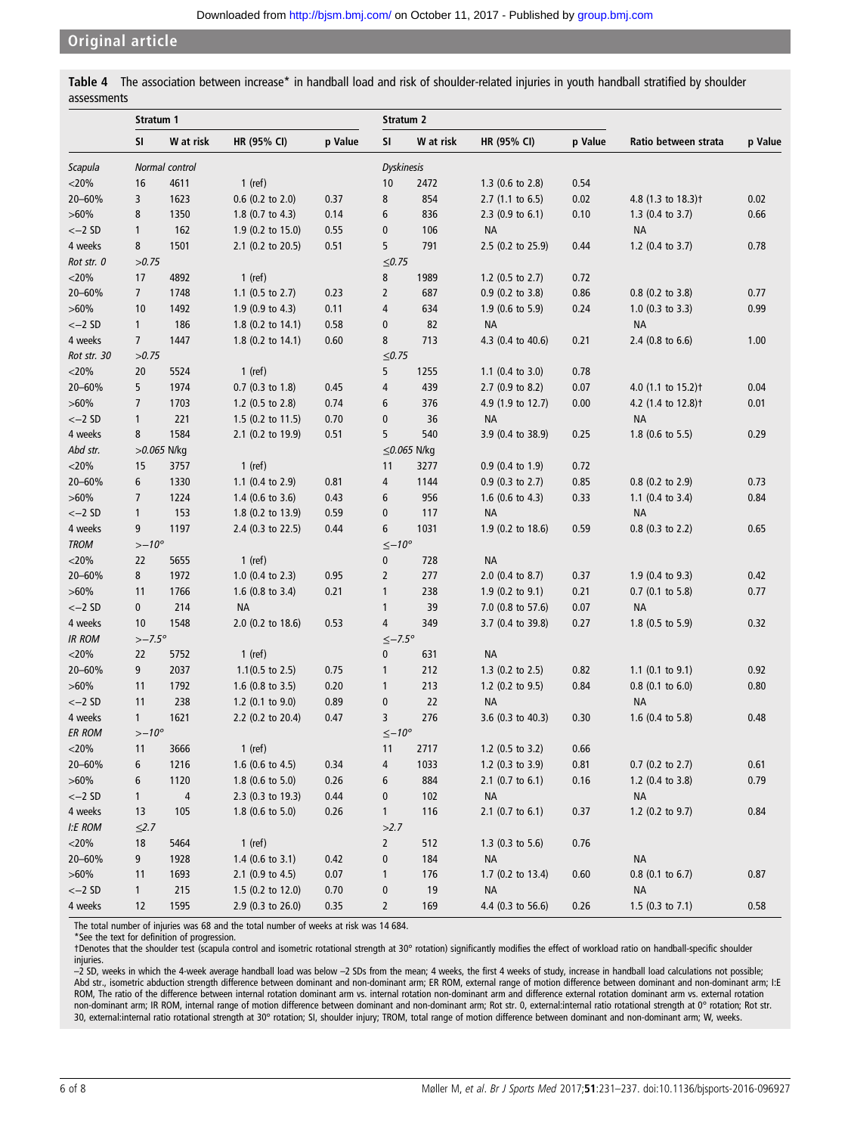<span id="page-5-0"></span>

|             | Table 4 The association between increase* in handball load and risk of shoulder-related injuries in youth handball stratified by shoulder |  |  |  |  |  |
|-------------|-------------------------------------------------------------------------------------------------------------------------------------------|--|--|--|--|--|
| assessments |                                                                                                                                           |  |  |  |  |  |

|               | Stratum 1       |                |                             |         |                    | Stratum 2         |                             |         |                                |         |
|---------------|-----------------|----------------|-----------------------------|---------|--------------------|-------------------|-----------------------------|---------|--------------------------------|---------|
|               | <b>SI</b>       | W at risk      | HR (95% CI)                 | p Value | <b>SI</b>          | W at risk         | HR (95% CI)                 | p Value | Ratio between strata           | p Value |
| Scapula       |                 | Normal control |                             |         | <b>Dyskinesis</b>  |                   |                             |         |                                |         |
| $<$ 20%       | 16              | 4611           | 1 (ref)                     |         | 10                 | 2472              | 1.3 (0.6 to 2.8)            | 0.54    |                                |         |
| 20-60%        | 3               | 1623           | 0.6 (0.2 to 2.0)            | 0.37    | 8                  | 854               | $2.7$ (1.1 to 6.5)          | 0.02    | 4.8 (1.3 to 18.3) <sup>†</sup> | 0.02    |
| $>60\%$       | 8               | 1350           | 1.8 (0.7 to 4.3)            | 0.14    | 6                  | 836               | $2.3$ (0.9 to 6.1)          | 0.10    | 1.3 $(0.4 \text{ to } 3.7)$    | 0.66    |
| $<-2$ SD      | $\mathbf{1}$    | 162            | 1.9 (0.2 to 15.0)           | 0.55    | $\pmb{0}$          | 106               | <b>NA</b>                   |         | <b>NA</b>                      |         |
| 4 weeks       | 8               | 1501           | 2.1 (0.2 to 20.5)           | 0.51    | 5                  | 791               | 2.5 (0.2 to 25.9)           | 0.44    | 1.2 (0.4 to 3.7)               | 0.78    |
| Rot str. 0    | >0.75           |                |                             |         | ≤0.75              |                   |                             |         |                                |         |
| $<$ 20%       | 17              | 4892           | $1$ (ref)                   |         | 8                  | 1989              | 1.2 (0.5 to 2.7)            | 0.72    |                                |         |
| 20-60%        | $\overline{7}$  | 1748           | 1.1 (0.5 to 2.7)            | 0.23    | $\overline{2}$     | 687               | 0.9 (0.2 to 3.8)            | 0.86    | 0.8 (0.2 to 3.8)               | 0.77    |
| $>60\%$       | 10              | 1492           | 1.9 (0.9 to 4.3)            | 0.11    | $\overline{4}$     | 634               | 1.9 (0.6 to 5.9)            | 0.24    | 1.0 $(0.3 \text{ to } 3.3)$    | 0.99    |
| $<-2SD$       | $\mathbf{1}$    | 186            | 1.8 (0.2 to 14.1)           | 0.58    | $\pmb{0}$          | 82                | <b>NA</b>                   |         | <b>NA</b>                      |         |
| 4 weeks       | $\overline{7}$  | 1447           | 1.8 (0.2 to 14.1)           | 0.60    | 8                  | 713               | 4.3 (0.4 to 40.6)           | 0.21    | 2.4 (0.8 to 6.6)               | 1.00    |
| Rot str. 30   | >0.75           |                |                             |         | ≤0.75              |                   |                             |         |                                |         |
| $<$ 20%       | 20              | 5524           | 1 (ref)                     |         | 5                  | 1255              | 1.1 $(0.4 \text{ to } 3.0)$ | 0.78    |                                |         |
| 20-60%        | 5               | 1974           | 0.7 (0.3 to 1.8)            | 0.45    | $\overline{4}$     | 439               | 2.7 (0.9 to 8.2)            | 0.07    | 4.0 (1.1 to 15.2) <sup>+</sup> | 0.04    |
| $>60\%$       | $\overline{7}$  | 1703           | 1.2 (0.5 to 2.8)            | 0.74    | 6                  | 376               | 4.9 (1.9 to 12.7)           | 0.00    | 4.2 (1.4 to 12.8) <sup>†</sup> | 0.01    |
| $<-2$ SD      | $\mathbf{1}$    | 221            | 1.5 (0.2 to 11.5)           | 0.70    | $\pmb{0}$          | 36                | <b>NA</b>                   |         | <b>NA</b>                      |         |
| 4 weeks       | 8               | 1584           | 2.1 (0.2 to 19.9)           | 0.51    | 5                  | 540               | 3.9 (0.4 to 38.9)           | 0.25    | 1.8 $(0.6 \text{ to } 5.5)$    | 0.29    |
| Abd str.      |                 | >0.065 N/kg    |                             |         |                    | $\leq$ 0.065 N/kg |                             |         |                                |         |
| $<$ 20%       | 15              | 3757           | $1$ (ref)                   |         | 11                 | 3277              | 0.9 (0.4 to 1.9)            | 0.72    |                                |         |
| 20-60%        | 6               | 1330           | 1.1 (0.4 to 2.9)            | 0.81    | 4                  | 1144              | $0.9$ (0.3 to 2.7)          | 0.85    | 0.8 (0.2 to 2.9)               | 0.73    |
| $>60\%$       | $\overline{7}$  | 1224           | $1.4$ (0.6 to 3.6)          | 0.43    | 6                  | 956               | 1.6 $(0.6 \text{ to } 4.3)$ | 0.33    | 1.1 (0.4 to 3.4)               | 0.84    |
| $<-2SD$       | $\mathbf{1}$    | 153            | 1.8 (0.2 to 13.9)           | 0.59    | $\pmb{0}$          | 117               | <b>NA</b>                   |         | <b>NA</b>                      |         |
| 4 weeks       | 9               | 1197           | 2.4 (0.3 to 22.5)           | 0.44    | 6                  | 1031              | 1.9 (0.2 to 18.6)           | 0.59    | 0.8 (0.3 to 2.2)               | 0.65    |
| <b>TROM</b>   | $> -10^{\circ}$ |                |                             |         | $\leq -10^{\circ}$ |                   |                             |         |                                |         |
| $<$ 20%       | 22              | 5655           | 1 (ref)                     |         | $\pmb{0}$          | 728               | <b>NA</b>                   |         |                                |         |
| 20-60%        | 8               | 1972           | 1.0 $(0.4 \text{ to } 2.3)$ | 0.95    | $\overline{2}$     | 277               | 2.0 (0.4 to 8.7)            | 0.37    | 1.9 (0.4 to 9.3)               | 0.42    |
| $>60\%$       | 11              | 1766           | 1.6 $(0.8 \text{ to } 3.4)$ | 0.21    | $\mathbf{1}$       | 238               | $1.9$ (0.2 to 9.1)          | 0.21    | $0.7$ (0.1 to 5.8)             | 0.77    |
| $<-2SD$       | 0               | 214            | <b>NA</b>                   |         | $\mathbf{1}$       | 39                | 7.0 (0.8 to 57.6)           | 0.07    | <b>NA</b>                      |         |
| 4 weeks       | 10              | 1548           | 2.0 (0.2 to 18.6)           | 0.53    | 4                  | 349               | 3.7 (0.4 to 39.8)           | 0.27    | 1.8 (0.5 to 5.9)               | 0.32    |
| <b>IR ROM</b> | $>-7.5^{\circ}$ |                |                             |         | $≤-7.5°$           |                   |                             |         |                                |         |
| $<$ 20%       | 22              | 5752           | $1$ (ref)                   |         | $\pmb{0}$          | 631               | <b>NA</b>                   |         |                                |         |
| 20-60%        | 9               | 2037           | $1.1(0.5 \text{ to } 2.5)$  | 0.75    | $\mathbf{1}$       | 212               | 1.3 (0.2 to 2.5)            | 0.82    | 1.1 (0.1 to $9.1$ )            | 0.92    |
| $>60\%$       | 11              | 1792           | 1.6 (0.8 to 3.5)            | 0.20    | $\mathbf{1}$       | 213               | 1.2 (0.2 to 9.5)            | 0.84    | $0.8$ (0.1 to 6.0)             | 0.80    |
| $<-2SD$       | 11              | 238            | 1.2 (0.1 to 9.0)            | 0.89    | $\pmb{0}$          | 22                | <b>NA</b>                   |         | <b>NA</b>                      |         |
| 4 weeks       | $\mathbf{1}$    | 1621           | 2.2 (0.2 to 20.4)           | 0.47    | 3                  | 276               | 3.6 (0.3 to 40.3)           | 0.30    | 1.6 (0.4 to 5.8)               | 0.48    |
| <b>ER ROM</b> | $> -10^{\circ}$ |                |                             |         | $\leq -10^{\circ}$ |                   |                             |         |                                |         |
| $<$ 20%       | 11              | 3666           | 1 (ref)                     |         | 11                 | 2717              | 1.2 $(0.5 \text{ to } 3.2)$ | 0.66    |                                |         |
| 20-60%        |                 | 1216           | 1.6 (0.6 to 4.5)            | 0.34    |                    | 1033              | 1.2 $(0.3 \text{ to } 3.9)$ | 0.81    | 0.7 (0.2 to 2.7)               | 0.61    |
| $>60\%$       | 6<br>6          | 1120           | 1.8 (0.6 to 5.0)            | 0.26    | 4<br>6             | 884               | 2.1 (0.7 to 6.1)            | 0.16    | 1.2 (0.4 to 3.8)               | 0.79    |
| $<-2SD$       | $\mathbf{1}$    | $\overline{4}$ | 2.3 (0.3 to 19.3)           | 0.44    | $\pmb{0}$          | 102               | <b>NA</b>                   |         | <b>NA</b>                      |         |
|               |                 |                | 1.8 (0.6 to 5.0)            |         |                    | 116               |                             |         |                                | 0.84    |
| 4 weeks       | 13              | 105            |                             | 0.26    | $\mathbf{1}$       |                   | 2.1 (0.7 to 6.1)            | 0.37    | 1.2 (0.2 to 9.7)               |         |
| I:E ROM       | $\leq$ 2.7      |                |                             |         | >2.7               |                   |                             |         |                                |         |
| $<$ 20%       | 18              | 5464           | $1$ (ref)                   |         | $\overline{2}$     | 512               | 1.3 $(0.3 \text{ to } 5.6)$ | 0.76    |                                |         |
| 20-60%        | 9               | 1928           | $1.4$ (0.6 to 3.1)          | 0.42    | 0                  | 184               | <b>NA</b>                   |         | <b>NA</b>                      |         |
| $>60\%$       | 11              | 1693           | 2.1 (0.9 to 4.5)            | 0.07    | $\mathbf{1}$       | 176               | 1.7 (0.2 to 13.4)           | 0.60    | $0.8$ (0.1 to 6.7)             | 0.87    |
| $<-2SD$       | $\mathbf{1}$    | 215            | 1.5 (0.2 to 12.0)           | 0.70    | $\pmb{0}$          | 19                | <b>NA</b>                   |         | <b>NA</b>                      |         |
| 4 weeks       | 12              | 1595           | 2.9 (0.3 to 26.0)           | 0.35    | $\overline{2}$     | 169               | 4.4 (0.3 to 56.6)           | 0.26    | 1.5 $(0.3$ to 7.1)             | 0.58    |

The total number of injuries was 68 and the total number of weeks at risk was 14 684.

\*See the text for definition of progression.

†Denotes that the shoulder test (scapula control and isometric rotational strength at 30° rotation) significantly modifies the effect of workload ratio on handball-specific shoulder injuries.

 $-2$  SD, weeks in which the 4-week average handball load was below  $-2$  SDs from the mean; 4 weeks, the first 4 weeks of study, increase in handball load calculations not possible; Abd str., isometric abduction strength difference between dominant and non-dominant arm; ER ROM, external range of motion difference between dominant and non-dominant arm; I:E ROM, The ratio of the difference between internal rotation dominant arm vs. internal rotation non-dominant arm and difference external rotation dominant arm vs. external rotation non-dominant arm; IR ROM, internal range of motion difference between dominant and non-dominant arm; Rot str. 0, external:internal ratio rotational strength at 0° rotation; Rot str. 30, external:internal ratio rotational strength at 30° rotation; SI, shoulder injury; TROM, total range of motion difference between dominant and non-dominant arm; W, weeks.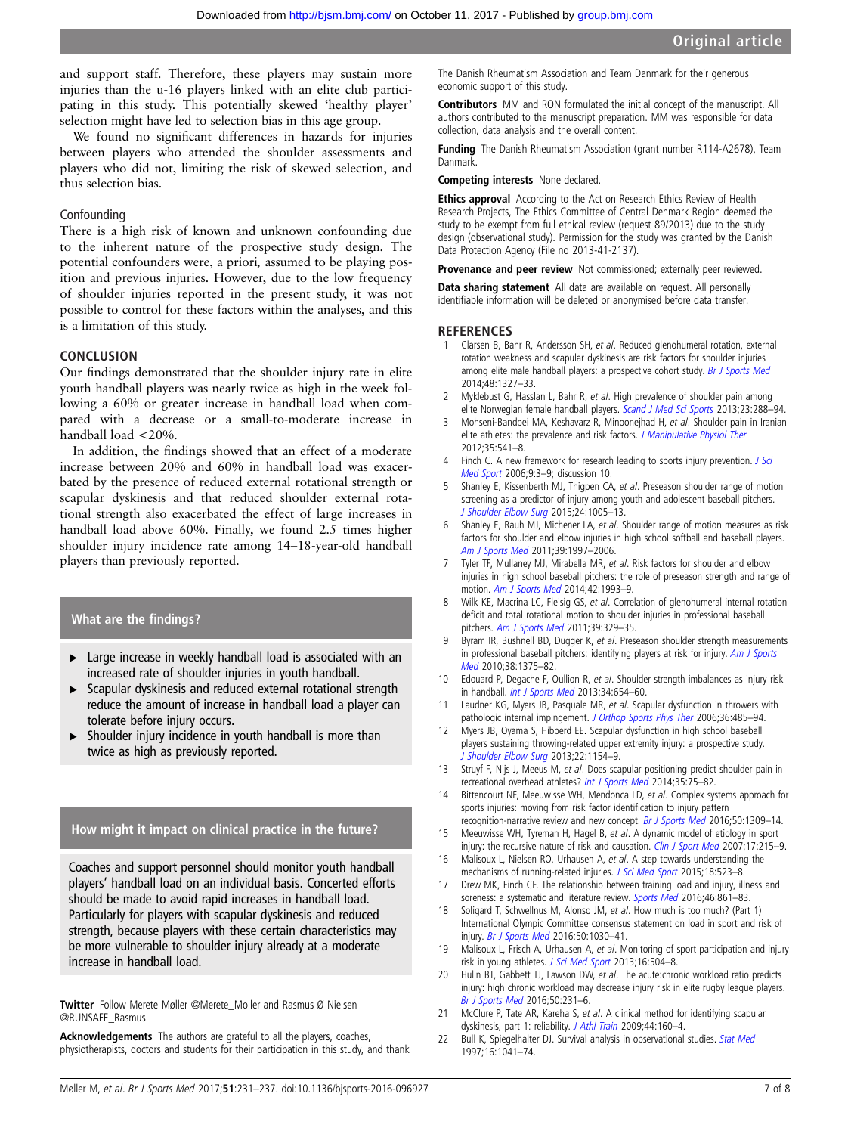<span id="page-6-0"></span>and support staff. Therefore, these players may sustain more injuries than the u-16 players linked with an elite club participating in this study. This potentially skewed 'healthy player' selection might have led to selection bias in this age group.

We found no significant differences in hazards for injuries between players who attended the shoulder assessments and players who did not, limiting the risk of skewed selection, and thus selection bias.

#### Confounding

There is a high risk of known and unknown confounding due to the inherent nature of the prospective study design. The potential confounders were, a priori, assumed to be playing position and previous injuries. However, due to the low frequency of shoulder injuries reported in the present study, it was not possible to control for these factors within the analyses, and this is a limitation of this study.

#### **CONCLUSION**

Our findings demonstrated that the shoulder injury rate in elite youth handball players was nearly twice as high in the week following a 60% or greater increase in handball load when compared with a decrease or a small-to-moderate increase in handball load <20%.

In addition, the findings showed that an effect of a moderate increase between 20% and 60% in handball load was exacerbated by the presence of reduced external rotational strength or scapular dyskinesis and that reduced shoulder external rotational strength also exacerbated the effect of large increases in handball load above 60%. Finally, we found 2.5 times higher shoulder injury incidence rate among 14–18-year-old handball players than previously reported.

## What are the findings?

- ► Large increase in weekly handball load is associated with an increased rate of shoulder injuries in youth handball.
- ▸ Scapular dyskinesis and reduced external rotational strength reduce the amount of increase in handball load a player can tolerate before injury occurs.
- Shoulder injury incidence in youth handball is more than twice as high as previously reported.

## How might it impact on clinical practice in the future?

Coaches and support personnel should monitor youth handball players' handball load on an individual basis. Concerted efforts should be made to avoid rapid increases in handball load. Particularly for players with scapular dyskinesis and reduced strength, because players with these certain characteristics may be more vulnerable to shoulder injury already at a moderate increase in handball load.

Twitter Follow Merete Møller [@Merete\\_Moller and Rasmus Ø Nielsen](http://twitter.com/Merete_Moller) [@RUNSAFE\\_Rasmus](http://twitter.com/RUNSAFE_Rasmus)

Acknowledgements The authors are grateful to all the players, coaches, physiotherapists, doctors and students for their participation in this study, and thank

The Danish Rheumatism Association and Team Danmark for their generous economic support of this study.

Contributors MM and RON formulated the initial concept of the manuscript. All authors contributed to the manuscript preparation. MM was responsible for data collection, data analysis and the overall content.

Funding The Danish Rheumatism Association (grant number R114-A2678), Team Danmark.

#### Competing interests None declared.

Ethics approval According to the Act on Research Ethics Review of Health Research Projects, The Ethics Committee of Central Denmark Region deemed the study to be exempt from full ethical review (request 89/2013) due to the study design (observational study). Permission for the study was granted by the Danish Data Protection Agency (File no 2013-41-2137).

Provenance and peer review Not commissioned; externally peer reviewed.

Data sharing statement All data are available on request. All personally identifiable information will be deleted or anonymised before data transfer.

#### **REFERENCES**

- 1 Clarsen B, Bahr R, Andersson SH, et al. Reduced glenohumeral rotation, external rotation weakness and scapular dyskinesis are risk factors for shoulder injuries among elite male handball players: a prospective cohort study. [Br J Sports Med](http://dx.doi.org/10.1136/bjsports-2014-093702) 2014;48:1327–33.
- Myklebust G, Hasslan L, Bahr R, et al. High prevalence of shoulder pain among elite Norwegian female handball players. [Scand J Med Sci Sports](http://dx.doi.org/10.1111/j.1600-0838.2011.01398.x) 2013;23:288-94.
- 3 Mohseni-Bandpei MA, Keshavarz R, Minoonejhad H, et al. Shoulder pain in Iranian elite athletes: the prevalence and risk factors. [J Manipulative Physiol Ther](http://dx.doi.org/10.1016/j.jmpt.2012.07.011) 2012;35:541–8.
- Finch C. A new framework for research leading to sports injury prevention. *[J Sci](http://dx.doi.org/10.1016/j.jsams.2006.02.009)* [Med Sport](http://dx.doi.org/10.1016/j.jsams.2006.02.009) 2006;9:3–9; discussion 10.
- 5 Shanley E, Kissenberth MJ, Thigpen CA, et al. Preseason shoulder range of motion screening as a predictor of injury among youth and adolescent baseball pitchers. [J Shoulder Elbow Surg](http://dx.doi.org/10.1016/j.jse.2015.03.012) 2015;24:1005–13.
- Shanley E, Rauh MJ, Michener LA, et al. Shoulder range of motion measures as risk factors for shoulder and elbow injuries in high school softball and baseball players. [Am J Sports Med](http://dx.doi.org/10.1177/0363546511408876) 2011;39:1997-2006.
- 7 Tyler TF, Mullaney MJ, Mirabella MR, et al. Risk factors for shoulder and elbow injuries in high school baseball pitchers: the role of preseason strength and range of motion. [Am J Sports Med](http://dx.doi.org/10.1177/0363546514535070) 2014;42:1993–9.
- 8 Wilk KE, Macrina LC, Fleisig GS, et al. Correlation of glenohumeral internal rotation deficit and total rotational motion to shoulder injuries in professional baseball pitchers. [Am J Sports Med](http://dx.doi.org/10.1177/0363546510384223) 2011;39:329-35.
- 9 Byram IR, Bushnell BD, Dugger K, et al. Preseason shoulder strength measurements in professional baseball pitchers: identifying players at risk for injury. [Am J Sports](http://dx.doi.org/10.1177/0363546509360404) [Med](http://dx.doi.org/10.1177/0363546509360404) 2010;38:1375-82.
- 10 Edouard P, Degache F, Oullion R, et al. Shoulder strength imbalances as injury risk in handball. *[Int J Sports Med](http://dx.doi.org/10.1055/s-0032-1312587)* 2013;34:654-60.
- 11 Laudner KG, Myers JB, Pasquale MR, et al. Scapular dysfunction in throwers with pathologic internal impingement. [J Orthop Sports Phys Ther](http://dx.doi.org/10.2519/jospt.2006.2146) 2006;36:485-94.
- 12 Myers JB, Oyama S, Hibberd EE. Scapular dysfunction in high school baseball players sustaining throwing-related upper extremity injury: a prospective study. [J Shoulder Elbow Surg](http://dx.doi.org/10.1016/j.jse.2012.12.029) 2013;22:1154–9.
- 13 Struyf F, Nijs J, Meeus M, et al. Does scapular positioning predict shoulder pain in recreational overhead athletes? [Int J Sports Med](http://dx.doi.org/10.1055/s-0033-1343409) 2014;35:75–82.
- 14 Bittencourt NF, Meeuwisse WH, Mendonca LD, et al. Complex systems approach for sports injuries: moving from risk factor identification to injury pattern recognition-narrative review and new concept. [Br J Sports Med](http://dx.doi.org/10.1136/bjsports-2015-095850) 2016;50:1309–14.
- 15 Meeuwisse WH, Tyreman H, Hagel B, et al. A dynamic model of etiology in sport injury: the recursive nature of risk and causation. [Clin J Sport Med](http://dx.doi.org/10.1097/JSM.0b013e3180592a48) 2007;17:215-9.
- 16 Malisoux L, Nielsen RO, Urhausen A, et al. A step towards understanding the mechanisms of running-related injuries. [J Sci Med Sport](http://dx.doi.org/10.1016/j.jsams.2014.07.014) 2015;18:523-8.
- 17 Drew MK, Finch CF. The relationship between training load and injury, illness and soreness: a systematic and literature review. [Sports Med](http://dx.doi.org/10.1007/s40279-015-0459-8) 2016:46:861-83.
- 18 Soligard T, Schwellnus M, Alonso JM, et al. How much is too much? (Part 1) International Olympic Committee consensus statement on load in sport and risk of injury. [Br J Sports Med](http://dx.doi.org/10.1136/bjsports-2016-096581) 2016;50:1030–41.
- 19 Malisoux L, Frisch A, Urhausen A, et al. Monitoring of sport participation and injury risk in young athletes. [J Sci Med Sport](http://dx.doi.org/10.1016/j.jsams.2013.01.008) 2013;16:504-8.
- 20 Hulin BT, Gabbett TJ, Lawson DW, et al. The acute:chronic workload ratio predicts injury: high chronic workload may decrease injury risk in elite rugby league players. [Br J Sports Med](http://dx.doi.org/10.1136/bjsports-2015-094817) 2016;50:231–6.
- 21 McClure P, Tate AR, Kareha S, et al. A clinical method for identifying scapular dyskinesis, part 1: reliability. [J Athl Train](http://dx.doi.org/10.4085/1062-6050-44.2.160) 2009;44:160-4.
- 22 Bull K, Spiegelhalter DJ. Survival analysis in observational studies. [Stat Med](http://dx.doi.org/10.1002/(SICI)1097-0258(19970515)16:9<1041::AID-SIM506>3.0.CO;2-F) 1997;16:1041–74.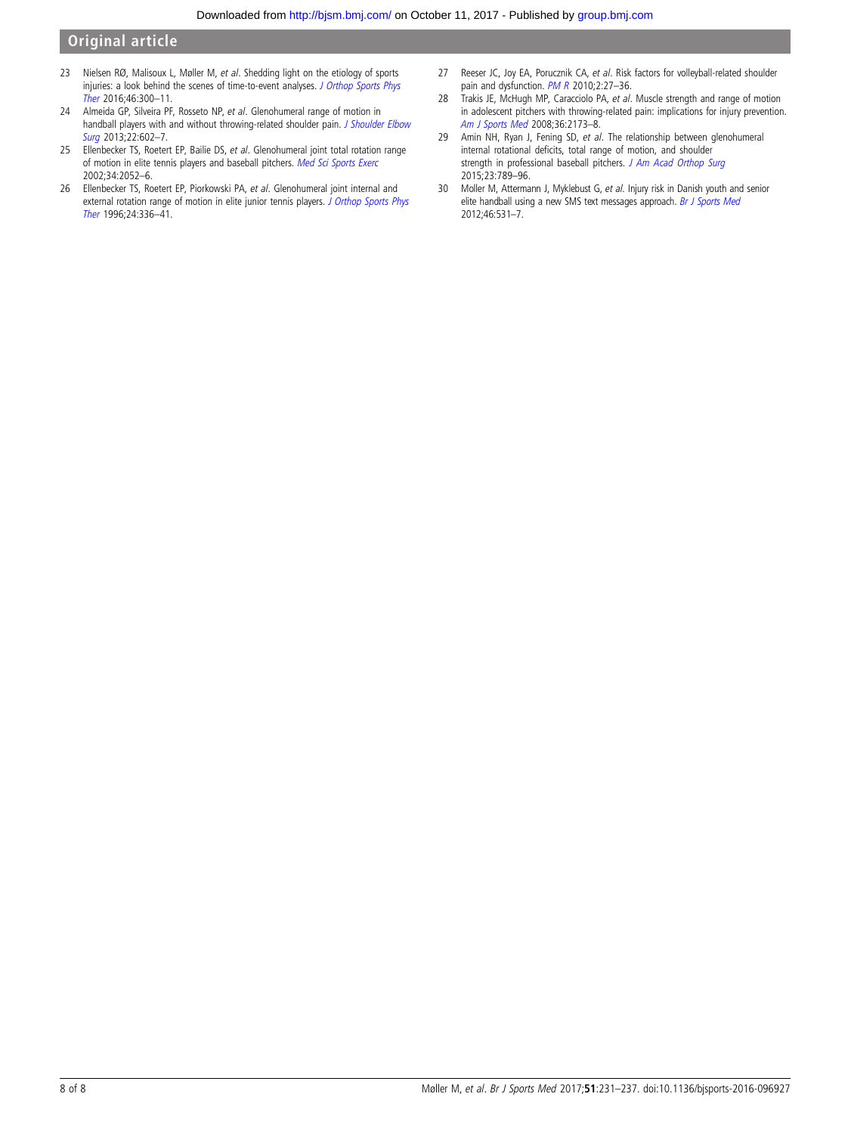- <span id="page-7-0"></span>23 Nielsen RØ, Malisoux L, Møller M, et al. Shedding light on the etiology of sports injuries: a look behind the scenes of time-to-event analyses. [J Orthop Sports Phys](http://dx.doi.org/10.2519/jospt.2016.6510) [Ther](http://dx.doi.org/10.2519/jospt.2016.6510) 2016;46:300–11.
- 24 Almeida GP, Silveira PF, Rosseto NP, et al. Glenohumeral range of motion in handball players with and without throwing-related shoulder pain. [J Shoulder Elbow](http://dx.doi.org/10.1016/j.jse.2012.08.027) [Surg](http://dx.doi.org/10.1016/j.jse.2012.08.027) 2013;22:602-7.
- 25 Ellenbecker TS, Roetert EP, Bailie DS, et al. Glenohumeral joint total rotation range of motion in elite tennis players and baseball pitchers. [Med Sci Sports Exerc](http://dx.doi.org/10.1249/01.MSS.0000039301.69917.0C) 2002;34:2052–6.
- 26 Ellenbecker TS, Roetert EP, Piorkowski PA, et al. Glenohumeral joint internal and external rotation range of motion in elite junior tennis players. [J Orthop Sports Phys](http://dx.doi.org/10.2519/jospt.1996.24.6.336) [Ther](http://dx.doi.org/10.2519/jospt.1996.24.6.336) 1996;24:336–41.
- 27 Reeser JC, Joy EA, Porucznik CA, et al. Risk factors for volleyball-related shoulder pain and dysfunction. [PM R](http://dx.doi.org/10.1016/j.pmrj.2009.11.010) 2010;2:27-36.
- 28 Trakis JE, McHugh MP, Caracciolo PA, et al. Muscle strength and range of motion in adolescent pitchers with throwing-related pain: implications for injury prevention. [Am J Sports Med](http://dx.doi.org/10.1177/0363546508319049) 2008;36:2173–8.
- 29 Amin NH, Ryan J, Fening SD, et al. The relationship between glenohumeral internal rotational deficits, total range of motion, and shoulder strength in professional baseball pitchers. [J Am Acad Orthop Surg](http://dx.doi.org/10.5435/JAAOS-D-15-00292) 2015;23:789–96.
- 30 Moller M, Attermann J, Myklebust G, et al. Injury risk in Danish youth and senior elite handball using a new SMS text messages approach. [Br J Sports Med](http://dx.doi.org/10.1136/bjsports-2012-091022) 2012;46:531–7.